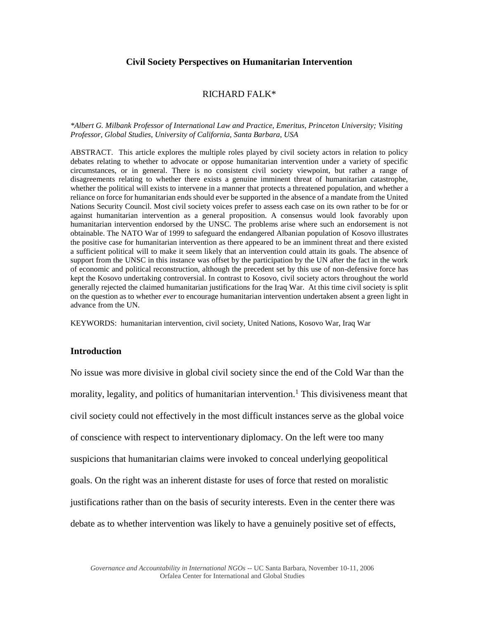## **Civil Society Perspectives on Humanitarian Intervention**

# RICHARD FALK\*

#### *\*Albert G. Milbank Professor of International Law and Practice, Emeritus, Princeton University; Visiting Professor, Global Studies, University of California, Santa Barbara, USA*

ABSTRACT. This article explores the multiple roles played by civil society actors in relation to policy debates relating to whether to advocate or oppose humanitarian intervention under a variety of specific circumstances, or in general. There is no consistent civil society viewpoint, but rather a range of disagreements relating to whether there exists a genuine imminent threat of humanitarian catastrophe, whether the political will exists to intervene in a manner that protects a threatened population, and whether a reliance on force for humanitarian ends should ever be supported in the absence of a mandate from the United Nations Security Council. Most civil society voices prefer to assess each case on its own rather to be for or against humanitarian intervention as a general proposition. A consensus would look favorably upon humanitarian intervention endorsed by the UNSC. The problems arise where such an endorsement is not obtainable. The NATO War of 1999 to safeguard the endangered Albanian population of Kosovo illustrates the positive case for humanitarian intervention as there appeared to be an imminent threat and there existed a sufficient political will to make it seem likely that an intervention could attain its goals. The absence of support from the UNSC in this instance was offset by the participation by the UN after the fact in the work of economic and political reconstruction, although the precedent set by this use of non-defensive force has kept the Kosovo undertaking controversial. In contrast to Kosovo, civil society actors throughout the world generally rejected the claimed humanitarian justifications for the Iraq War. At this time civil society is split on the question as to whether *ever* to encourage humanitarian intervention undertaken absent a green light in advance from the UN.

KEYWORDS: humanitarian intervention, civil society, United Nations, Kosovo War, Iraq War

#### **Introduction**

No issue was more divisive in global civil society since the end of the Cold War than the morality, legality, and politics of humanitarian intervention.<sup>1</sup> This divisiveness meant that civil society could not effectively in the most difficult instances serve as the global voice of conscience with respect to interventionary diplomacy. On the left were too many suspicions that humanitarian claims were invoked to conceal underlying geopolitical goals. On the right was an inherent distaste for uses of force that rested on moralistic justifications rather than on the basis of security interests. Even in the center there was debate as to whether intervention was likely to have a genuinely positive set of effects,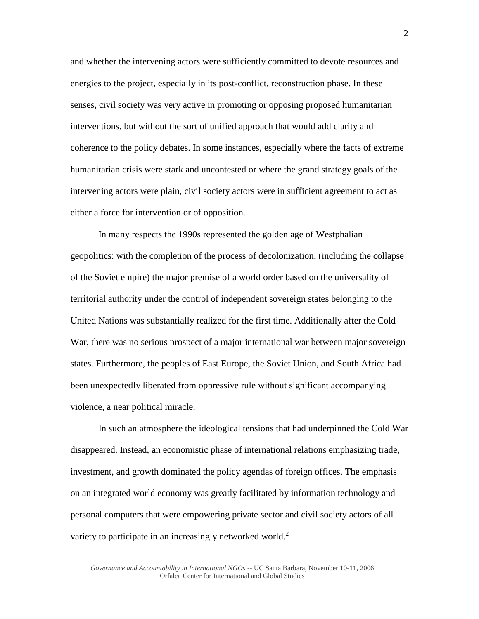and whether the intervening actors were sufficiently committed to devote resources and energies to the project, especially in its post-conflict, reconstruction phase. In these senses, civil society was very active in promoting or opposing proposed humanitarian interventions, but without the sort of unified approach that would add clarity and coherence to the policy debates. In some instances, especially where the facts of extreme humanitarian crisis were stark and uncontested or where the grand strategy goals of the intervening actors were plain, civil society actors were in sufficient agreement to act as either a force for intervention or of opposition.

In many respects the 1990s represented the golden age of Westphalian geopolitics: with the completion of the process of decolonization, (including the collapse of the Soviet empire) the major premise of a world order based on the universality of territorial authority under the control of independent sovereign states belonging to the United Nations was substantially realized for the first time. Additionally after the Cold War, there was no serious prospect of a major international war between major sovereign states. Furthermore, the peoples of East Europe, the Soviet Union, and South Africa had been unexpectedly liberated from oppressive rule without significant accompanying violence, a near political miracle.

In such an atmosphere the ideological tensions that had underpinned the Cold War disappeared. Instead, an economistic phase of international relations emphasizing trade, investment, and growth dominated the policy agendas of foreign offices. The emphasis on an integrated world economy was greatly facilitated by information technology and personal computers that were empowering private sector and civil society actors of all variety to participate in an increasingly networked world.<sup>2</sup>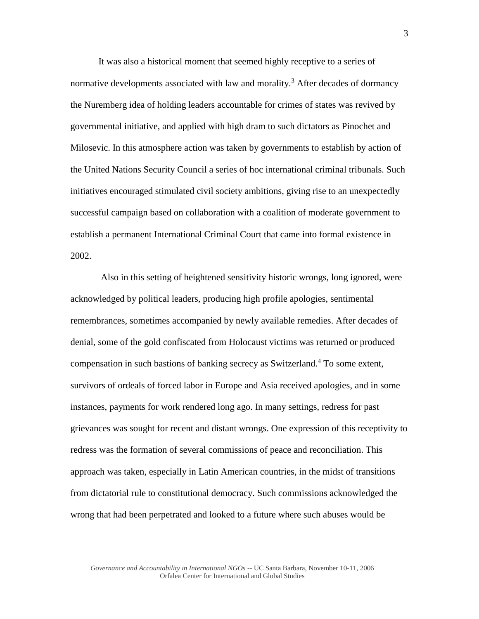It was also a historical moment that seemed highly receptive to a series of normative developments associated with law and morality.<sup>3</sup> After decades of dormancy the Nuremberg idea of holding leaders accountable for crimes of states was revived by governmental initiative, and applied with high dram to such dictators as Pinochet and Milosevic. In this atmosphere action was taken by governments to establish by action of the United Nations Security Council a series of hoc international criminal tribunals. Such initiatives encouraged stimulated civil society ambitions, giving rise to an unexpectedly successful campaign based on collaboration with a coalition of moderate government to establish a permanent International Criminal Court that came into formal existence in 2002.

Also in this setting of heightened sensitivity historic wrongs, long ignored, were acknowledged by political leaders, producing high profile apologies, sentimental remembrances, sometimes accompanied by newly available remedies. After decades of denial, some of the gold confiscated from Holocaust victims was returned or produced compensation in such bastions of banking secrecy as Switzerland.<sup>4</sup> To some extent, survivors of ordeals of forced labor in Europe and Asia received apologies, and in some instances, payments for work rendered long ago. In many settings, redress for past grievances was sought for recent and distant wrongs. One expression of this receptivity to redress was the formation of several commissions of peace and reconciliation. This approach was taken, especially in Latin American countries, in the midst of transitions from dictatorial rule to constitutional democracy. Such commissions acknowledged the wrong that had been perpetrated and looked to a future where such abuses would be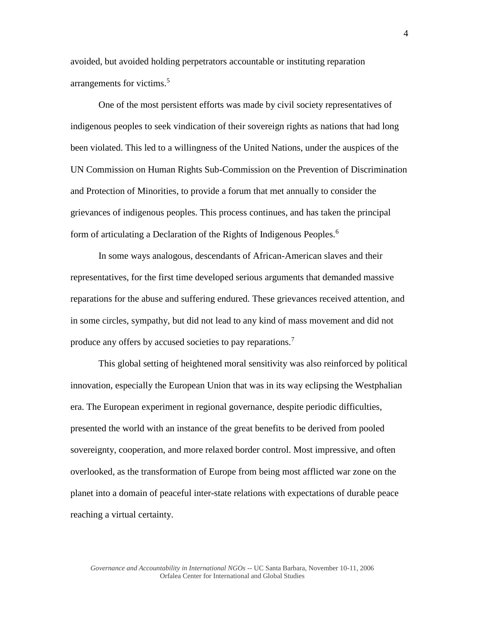avoided, but avoided holding perpetrators accountable or instituting reparation arrangements for victims.<sup>5</sup>

One of the most persistent efforts was made by civil society representatives of indigenous peoples to seek vindication of their sovereign rights as nations that had long been violated. This led to a willingness of the United Nations, under the auspices of the UN Commission on Human Rights Sub-Commission on the Prevention of Discrimination and Protection of Minorities, to provide a forum that met annually to consider the grievances of indigenous peoples. This process continues, and has taken the principal form of articulating a Declaration of the Rights of Indigenous Peoples.<sup>6</sup>

In some ways analogous, descendants of African-American slaves and their representatives, for the first time developed serious arguments that demanded massive reparations for the abuse and suffering endured. These grievances received attention, and in some circles, sympathy, but did not lead to any kind of mass movement and did not produce any offers by accused societies to pay reparations.<sup>7</sup>

This global setting of heightened moral sensitivity was also reinforced by political innovation, especially the European Union that was in its way eclipsing the Westphalian era. The European experiment in regional governance, despite periodic difficulties, presented the world with an instance of the great benefits to be derived from pooled sovereignty, cooperation, and more relaxed border control. Most impressive, and often overlooked, as the transformation of Europe from being most afflicted war zone on the planet into a domain of peaceful inter-state relations with expectations of durable peace reaching a virtual certainty.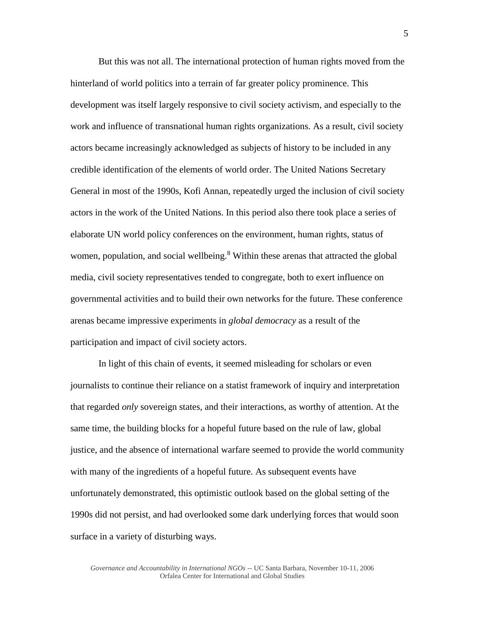But this was not all. The international protection of human rights moved from the hinterland of world politics into a terrain of far greater policy prominence. This development was itself largely responsive to civil society activism, and especially to the work and influence of transnational human rights organizations. As a result, civil society actors became increasingly acknowledged as subjects of history to be included in any credible identification of the elements of world order. The United Nations Secretary General in most of the 1990s, Kofi Annan, repeatedly urged the inclusion of civil society actors in the work of the United Nations. In this period also there took place a series of elaborate UN world policy conferences on the environment, human rights, status of women, population, and social wellbeing.<sup>8</sup> Within these arenas that attracted the global media, civil society representatives tended to congregate, both to exert influence on governmental activities and to build their own networks for the future. These conference arenas became impressive experiments in *global democracy* as a result of the participation and impact of civil society actors.

In light of this chain of events, it seemed misleading for scholars or even journalists to continue their reliance on a statist framework of inquiry and interpretation that regarded *only* sovereign states, and their interactions, as worthy of attention. At the same time, the building blocks for a hopeful future based on the rule of law, global justice, and the absence of international warfare seemed to provide the world community with many of the ingredients of a hopeful future. As subsequent events have unfortunately demonstrated, this optimistic outlook based on the global setting of the 1990s did not persist, and had overlooked some dark underlying forces that would soon surface in a variety of disturbing ways.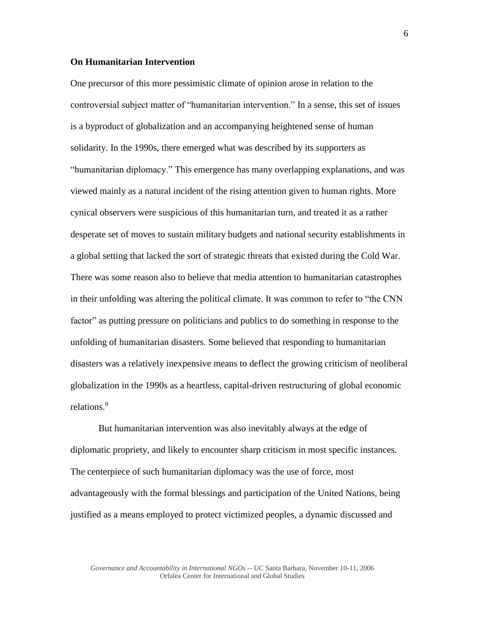## **On Humanitarian Intervention**

One precursor of this more pessimistic climate of opinion arose in relation to the controversial subject matter of "humanitarian intervention." In a sense, this set of issues is a byproduct of globalization and an accompanying heightened sense of human solidarity. In the 1990s, there emerged what was described by its supporters as "humanitarian diplomacy." This emergence has many overlapping explanations, and was viewed mainly as a natural incident of the rising attention given to human rights. More cynical observers were suspicious of this humanitarian turn, and treated it as a rather desperate set of moves to sustain military budgets and national security establishments in a global setting that lacked the sort of strategic threats that existed during the Cold War. There was some reason also to believe that media attention to humanitarian catastrophes in their unfolding was altering the political climate. It was common to refer to "the CNN factor" as putting pressure on politicians and publics to do something in response to the unfolding of humanitarian disasters. Some believed that responding to humanitarian disasters was a relatively inexpensive means to deflect the growing criticism of neoliberal globalization in the 1990s as a heartless, capital-driven restructuring of global economic relations.<sup>9</sup>

But humanitarian intervention was also inevitably always at the edge of diplomatic propriety, and likely to encounter sharp criticism in most specific instances. The centerpiece of such humanitarian diplomacy was the use of force, most advantageously with the formal blessings and participation of the United Nations, being justified as a means employed to protect victimized peoples, a dynamic discussed and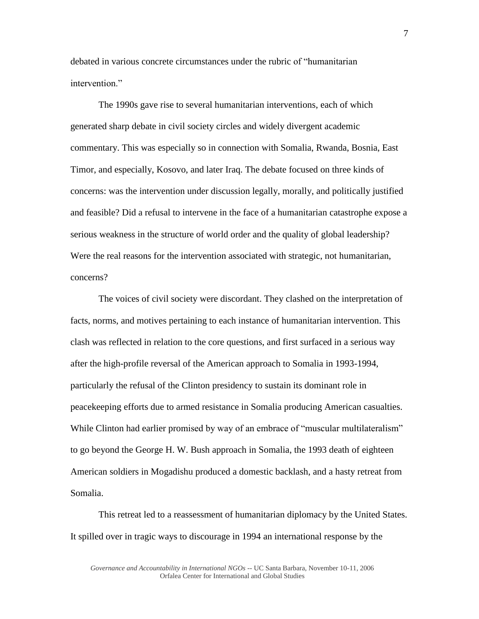debated in various concrete circumstances under the rubric of "humanitarian intervention"

The 1990s gave rise to several humanitarian interventions, each of which generated sharp debate in civil society circles and widely divergent academic commentary. This was especially so in connection with Somalia, Rwanda, Bosnia, East Timor, and especially, Kosovo, and later Iraq. The debate focused on three kinds of concerns: was the intervention under discussion legally, morally, and politically justified and feasible? Did a refusal to intervene in the face of a humanitarian catastrophe expose a serious weakness in the structure of world order and the quality of global leadership? Were the real reasons for the intervention associated with strategic, not humanitarian, concerns?

The voices of civil society were discordant. They clashed on the interpretation of facts, norms, and motives pertaining to each instance of humanitarian intervention. This clash was reflected in relation to the core questions, and first surfaced in a serious way after the high-profile reversal of the American approach to Somalia in 1993-1994, particularly the refusal of the Clinton presidency to sustain its dominant role in peacekeeping efforts due to armed resistance in Somalia producing American casualties. While Clinton had earlier promised by way of an embrace of "muscular multilateralism" to go beyond the George H. W. Bush approach in Somalia, the 1993 death of eighteen American soldiers in Mogadishu produced a domestic backlash, and a hasty retreat from Somalia.

This retreat led to a reassessment of humanitarian diplomacy by the United States. It spilled over in tragic ways to discourage in 1994 an international response by the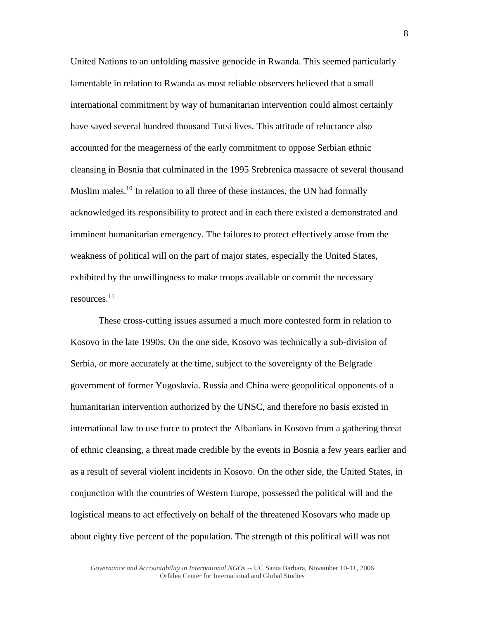United Nations to an unfolding massive genocide in Rwanda. This seemed particularly lamentable in relation to Rwanda as most reliable observers believed that a small international commitment by way of humanitarian intervention could almost certainly have saved several hundred thousand Tutsi lives. This attitude of reluctance also accounted for the meagerness of the early commitment to oppose Serbian ethnic cleansing in Bosnia that culminated in the 1995 Srebrenica massacre of several thousand Muslim males.<sup>10</sup> In relation to all three of these instances, the UN had formally acknowledged its responsibility to protect and in each there existed a demonstrated and imminent humanitarian emergency. The failures to protect effectively arose from the weakness of political will on the part of major states, especially the United States, exhibited by the unwillingness to make troops available or commit the necessary resources.<sup>11</sup>

These cross-cutting issues assumed a much more contested form in relation to Kosovo in the late 1990s. On the one side, Kosovo was technically a sub-division of Serbia, or more accurately at the time, subject to the sovereignty of the Belgrade government of former Yugoslavia. Russia and China were geopolitical opponents of a humanitarian intervention authorized by the UNSC, and therefore no basis existed in international law to use force to protect the Albanians in Kosovo from a gathering threat of ethnic cleansing, a threat made credible by the events in Bosnia a few years earlier and as a result of several violent incidents in Kosovo. On the other side, the United States, in conjunction with the countries of Western Europe, possessed the political will and the logistical means to act effectively on behalf of the threatened Kosovars who made up about eighty five percent of the population. The strength of this political will was not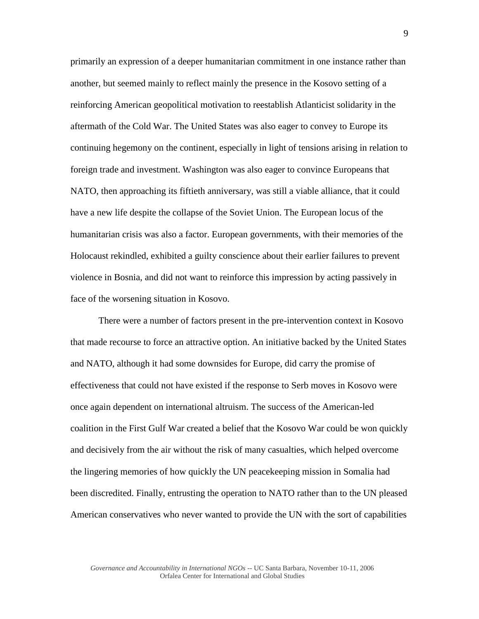primarily an expression of a deeper humanitarian commitment in one instance rather than another, but seemed mainly to reflect mainly the presence in the Kosovo setting of a reinforcing American geopolitical motivation to reestablish Atlanticist solidarity in the aftermath of the Cold War. The United States was also eager to convey to Europe its continuing hegemony on the continent, especially in light of tensions arising in relation to foreign trade and investment. Washington was also eager to convince Europeans that NATO, then approaching its fiftieth anniversary, was still a viable alliance, that it could have a new life despite the collapse of the Soviet Union. The European locus of the humanitarian crisis was also a factor. European governments, with their memories of the Holocaust rekindled, exhibited a guilty conscience about their earlier failures to prevent violence in Bosnia, and did not want to reinforce this impression by acting passively in face of the worsening situation in Kosovo.

There were a number of factors present in the pre-intervention context in Kosovo that made recourse to force an attractive option. An initiative backed by the United States and NATO, although it had some downsides for Europe, did carry the promise of effectiveness that could not have existed if the response to Serb moves in Kosovo were once again dependent on international altruism. The success of the American-led coalition in the First Gulf War created a belief that the Kosovo War could be won quickly and decisively from the air without the risk of many casualties, which helped overcome the lingering memories of how quickly the UN peacekeeping mission in Somalia had been discredited. Finally, entrusting the operation to NATO rather than to the UN pleased American conservatives who never wanted to provide the UN with the sort of capabilities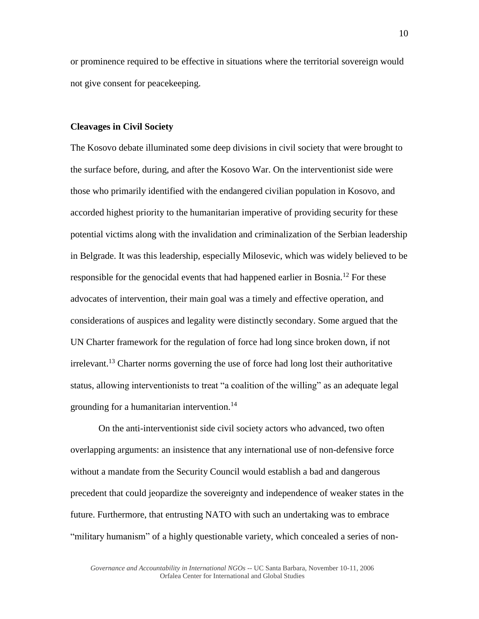or prominence required to be effective in situations where the territorial sovereign would not give consent for peacekeeping.

## **Cleavages in Civil Society**

The Kosovo debate illuminated some deep divisions in civil society that were brought to the surface before, during, and after the Kosovo War. On the interventionist side were those who primarily identified with the endangered civilian population in Kosovo, and accorded highest priority to the humanitarian imperative of providing security for these potential victims along with the invalidation and criminalization of the Serbian leadership in Belgrade. It was this leadership, especially Milosevic, which was widely believed to be responsible for the genocidal events that had happened earlier in Bosnia.<sup>12</sup> For these advocates of intervention, their main goal was a timely and effective operation, and considerations of auspices and legality were distinctly secondary. Some argued that the UN Charter framework for the regulation of force had long since broken down, if not  $i$ irrelevant.<sup>13</sup> Charter norms governing the use of force had long lost their authoritative status, allowing interventionists to treat "a coalition of the willing" as an adequate legal grounding for a humanitarian intervention.<sup>14</sup>

On the anti-interventionist side civil society actors who advanced, two often overlapping arguments: an insistence that any international use of non-defensive force without a mandate from the Security Council would establish a bad and dangerous precedent that could jeopardize the sovereignty and independence of weaker states in the future. Furthermore, that entrusting NATO with such an undertaking was to embrace "military humanism" of a highly questionable variety, which concealed a series of non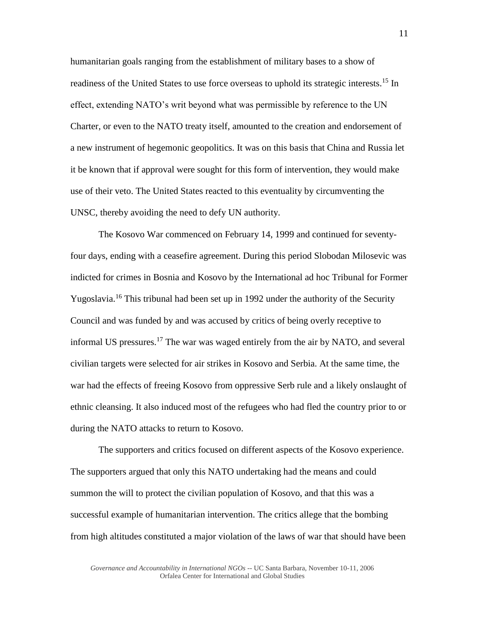humanitarian goals ranging from the establishment of military bases to a show of readiness of the United States to use force overseas to uphold its strategic interests.<sup>15</sup> In effect, extending NATO's writ beyond what was permissible by reference to the UN Charter, or even to the NATO treaty itself, amounted to the creation and endorsement of a new instrument of hegemonic geopolitics. It was on this basis that China and Russia let it be known that if approval were sought for this form of intervention, they would make use of their veto. The United States reacted to this eventuality by circumventing the UNSC, thereby avoiding the need to defy UN authority.

The Kosovo War commenced on February 14, 1999 and continued for seventyfour days, ending with a ceasefire agreement. During this period Slobodan Milosevic was indicted for crimes in Bosnia and Kosovo by the International ad hoc Tribunal for Former Yugoslavia.<sup>16</sup> This tribunal had been set up in 1992 under the authority of the Security Council and was funded by and was accused by critics of being overly receptive to informal US pressures.<sup>17</sup> The war was waged entirely from the air by NATO, and several civilian targets were selected for air strikes in Kosovo and Serbia. At the same time, the war had the effects of freeing Kosovo from oppressive Serb rule and a likely onslaught of ethnic cleansing. It also induced most of the refugees who had fled the country prior to or during the NATO attacks to return to Kosovo.

The supporters and critics focused on different aspects of the Kosovo experience. The supporters argued that only this NATO undertaking had the means and could summon the will to protect the civilian population of Kosovo, and that this was a successful example of humanitarian intervention. The critics allege that the bombing from high altitudes constituted a major violation of the laws of war that should have been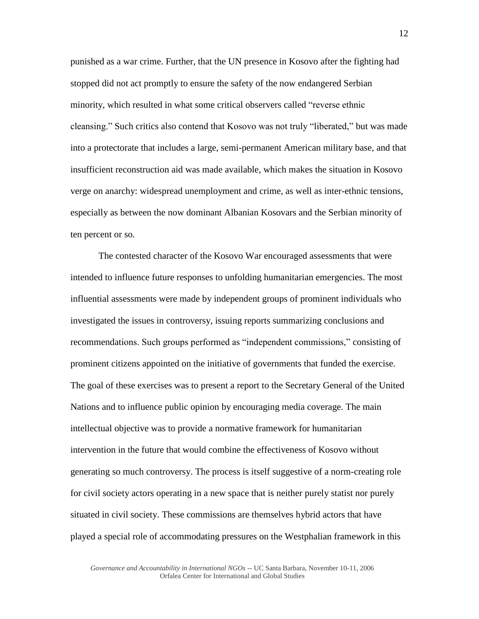punished as a war crime. Further, that the UN presence in Kosovo after the fighting had stopped did not act promptly to ensure the safety of the now endangered Serbian minority, which resulted in what some critical observers called "reverse ethnic cleansing." Such critics also contend that Kosovo was not truly "liberated," but was made into a protectorate that includes a large, semi-permanent American military base, and that insufficient reconstruction aid was made available, which makes the situation in Kosovo verge on anarchy: widespread unemployment and crime, as well as inter-ethnic tensions, especially as between the now dominant Albanian Kosovars and the Serbian minority of ten percent or so.

The contested character of the Kosovo War encouraged assessments that were intended to influence future responses to unfolding humanitarian emergencies. The most influential assessments were made by independent groups of prominent individuals who investigated the issues in controversy, issuing reports summarizing conclusions and recommendations. Such groups performed as "independent commissions," consisting of prominent citizens appointed on the initiative of governments that funded the exercise. The goal of these exercises was to present a report to the Secretary General of the United Nations and to influence public opinion by encouraging media coverage. The main intellectual objective was to provide a normative framework for humanitarian intervention in the future that would combine the effectiveness of Kosovo without generating so much controversy. The process is itself suggestive of a norm-creating role for civil society actors operating in a new space that is neither purely statist nor purely situated in civil society. These commissions are themselves hybrid actors that have played a special role of accommodating pressures on the Westphalian framework in this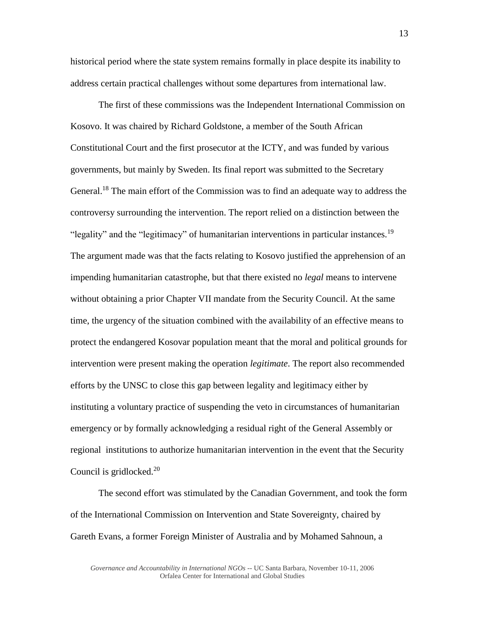historical period where the state system remains formally in place despite its inability to address certain practical challenges without some departures from international law.

The first of these commissions was the Independent International Commission on Kosovo. It was chaired by Richard Goldstone, a member of the South African Constitutional Court and the first prosecutor at the ICTY, and was funded by various governments, but mainly by Sweden. Its final report was submitted to the Secretary General.<sup>18</sup> The main effort of the Commission was to find an adequate way to address the controversy surrounding the intervention. The report relied on a distinction between the "legality" and the "legitimacy" of humanitarian interventions in particular instances.<sup>19</sup> The argument made was that the facts relating to Kosovo justified the apprehension of an impending humanitarian catastrophe, but that there existed no *legal* means to intervene without obtaining a prior Chapter VII mandate from the Security Council. At the same time, the urgency of the situation combined with the availability of an effective means to protect the endangered Kosovar population meant that the moral and political grounds for intervention were present making the operation *legitimate*. The report also recommended efforts by the UNSC to close this gap between legality and legitimacy either by instituting a voluntary practice of suspending the veto in circumstances of humanitarian emergency or by formally acknowledging a residual right of the General Assembly or regional institutions to authorize humanitarian intervention in the event that the Security Council is gridlocked. $20$ 

The second effort was stimulated by the Canadian Government, and took the form of the International Commission on Intervention and State Sovereignty, chaired by Gareth Evans, a former Foreign Minister of Australia and by Mohamed Sahnoun, a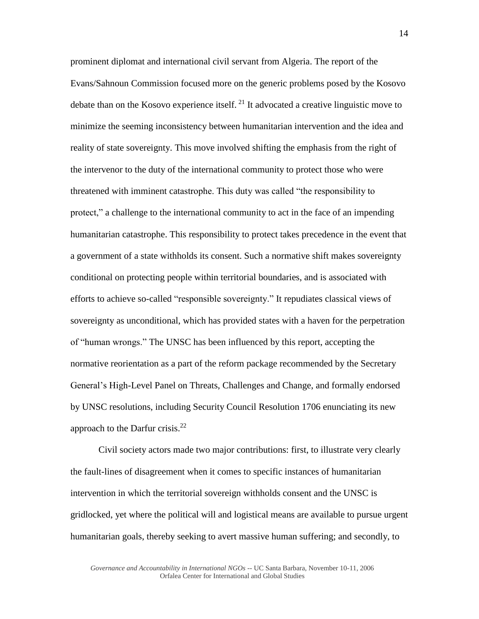prominent diplomat and international civil servant from Algeria. The report of the Evans/Sahnoun Commission focused more on the generic problems posed by the Kosovo debate than on the Kosovo experience itself.  $^{21}$  It advocated a creative linguistic move to minimize the seeming inconsistency between humanitarian intervention and the idea and reality of state sovereignty. This move involved shifting the emphasis from the right of the intervenor to the duty of the international community to protect those who were threatened with imminent catastrophe. This duty was called "the responsibility to protect," a challenge to the international community to act in the face of an impending humanitarian catastrophe. This responsibility to protect takes precedence in the event that a government of a state withholds its consent. Such a normative shift makes sovereignty conditional on protecting people within territorial boundaries, and is associated with efforts to achieve so-called "responsible sovereignty." It repudiates classical views of sovereignty as unconditional, which has provided states with a haven for the perpetration of "human wrongs." The UNSC has been influenced by this report, accepting the normative reorientation as a part of the reform package recommended by the Secretary General's High-Level Panel on Threats, Challenges and Change, and formally endorsed by UNSC resolutions, including Security Council Resolution 1706 enunciating its new approach to the Darfur crisis. $^{22}$ 

Civil society actors made two major contributions: first, to illustrate very clearly the fault-lines of disagreement when it comes to specific instances of humanitarian intervention in which the territorial sovereign withholds consent and the UNSC is gridlocked, yet where the political will and logistical means are available to pursue urgent humanitarian goals, thereby seeking to avert massive human suffering; and secondly, to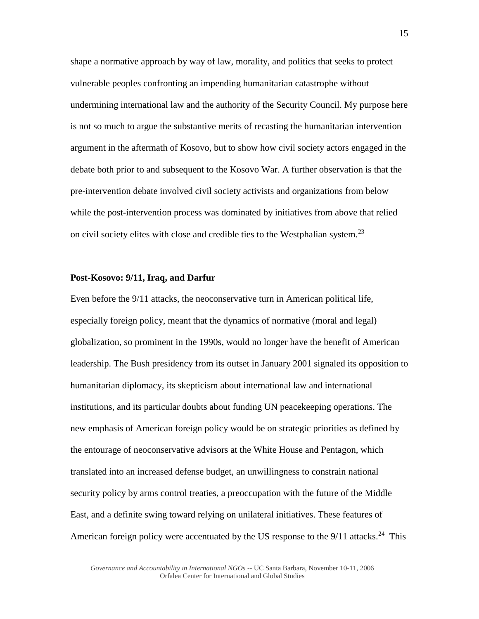shape a normative approach by way of law, morality, and politics that seeks to protect vulnerable peoples confronting an impending humanitarian catastrophe without undermining international law and the authority of the Security Council. My purpose here is not so much to argue the substantive merits of recasting the humanitarian intervention argument in the aftermath of Kosovo, but to show how civil society actors engaged in the debate both prior to and subsequent to the Kosovo War. A further observation is that the pre-intervention debate involved civil society activists and organizations from below while the post-intervention process was dominated by initiatives from above that relied on civil society elites with close and credible ties to the Westphalian system.<sup>23</sup>

#### **Post-Kosovo: 9/11, Iraq, and Darfur**

Even before the 9/11 attacks, the neoconservative turn in American political life, especially foreign policy, meant that the dynamics of normative (moral and legal) globalization, so prominent in the 1990s, would no longer have the benefit of American leadership. The Bush presidency from its outset in January 2001 signaled its opposition to humanitarian diplomacy, its skepticism about international law and international institutions, and its particular doubts about funding UN peacekeeping operations. The new emphasis of American foreign policy would be on strategic priorities as defined by the entourage of neoconservative advisors at the White House and Pentagon, which translated into an increased defense budget, an unwillingness to constrain national security policy by arms control treaties, a preoccupation with the future of the Middle East, and a definite swing toward relying on unilateral initiatives. These features of American foreign policy were accentuated by the US response to the  $9/11$  attacks.<sup>24</sup> This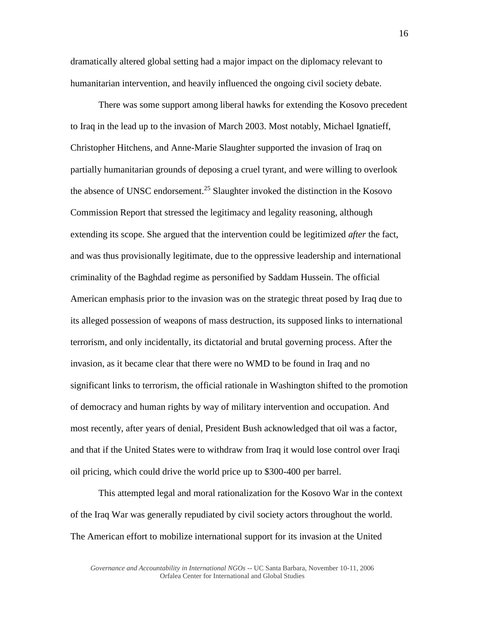dramatically altered global setting had a major impact on the diplomacy relevant to humanitarian intervention, and heavily influenced the ongoing civil society debate.

There was some support among liberal hawks for extending the Kosovo precedent to Iraq in the lead up to the invasion of March 2003. Most notably, Michael Ignatieff, Christopher Hitchens, and Anne-Marie Slaughter supported the invasion of Iraq on partially humanitarian grounds of deposing a cruel tyrant, and were willing to overlook the absence of UNSC endorsement.<sup>25</sup> Slaughter invoked the distinction in the Kosovo Commission Report that stressed the legitimacy and legality reasoning, although extending its scope. She argued that the intervention could be legitimized *after* the fact, and was thus provisionally legitimate, due to the oppressive leadership and international criminality of the Baghdad regime as personified by Saddam Hussein. The official American emphasis prior to the invasion was on the strategic threat posed by Iraq due to its alleged possession of weapons of mass destruction, its supposed links to international terrorism, and only incidentally, its dictatorial and brutal governing process. After the invasion, as it became clear that there were no WMD to be found in Iraq and no significant links to terrorism, the official rationale in Washington shifted to the promotion of democracy and human rights by way of military intervention and occupation. And most recently, after years of denial, President Bush acknowledged that oil was a factor, and that if the United States were to withdraw from Iraq it would lose control over Iraqi oil pricing, which could drive the world price up to \$300-400 per barrel.

This attempted legal and moral rationalization for the Kosovo War in the context of the Iraq War was generally repudiated by civil society actors throughout the world. The American effort to mobilize international support for its invasion at the United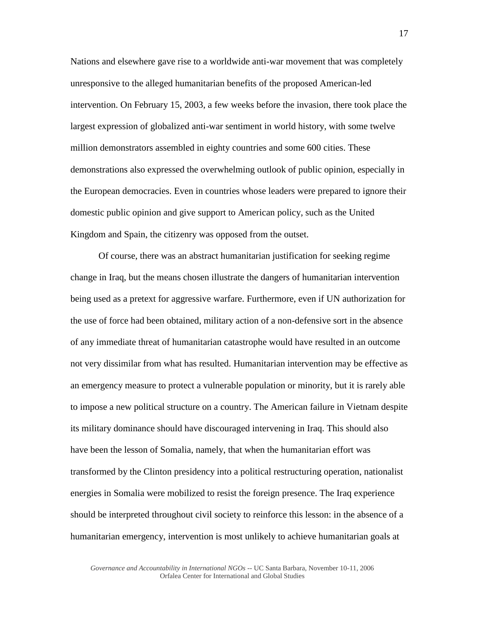Nations and elsewhere gave rise to a worldwide anti-war movement that was completely unresponsive to the alleged humanitarian benefits of the proposed American-led intervention. On February 15, 2003, a few weeks before the invasion, there took place the largest expression of globalized anti-war sentiment in world history, with some twelve million demonstrators assembled in eighty countries and some 600 cities. These demonstrations also expressed the overwhelming outlook of public opinion, especially in the European democracies. Even in countries whose leaders were prepared to ignore their domestic public opinion and give support to American policy, such as the United Kingdom and Spain, the citizenry was opposed from the outset.

Of course, there was an abstract humanitarian justification for seeking regime change in Iraq, but the means chosen illustrate the dangers of humanitarian intervention being used as a pretext for aggressive warfare. Furthermore, even if UN authorization for the use of force had been obtained, military action of a non-defensive sort in the absence of any immediate threat of humanitarian catastrophe would have resulted in an outcome not very dissimilar from what has resulted. Humanitarian intervention may be effective as an emergency measure to protect a vulnerable population or minority, but it is rarely able to impose a new political structure on a country. The American failure in Vietnam despite its military dominance should have discouraged intervening in Iraq. This should also have been the lesson of Somalia, namely, that when the humanitarian effort was transformed by the Clinton presidency into a political restructuring operation, nationalist energies in Somalia were mobilized to resist the foreign presence. The Iraq experience should be interpreted throughout civil society to reinforce this lesson: in the absence of a humanitarian emergency, intervention is most unlikely to achieve humanitarian goals at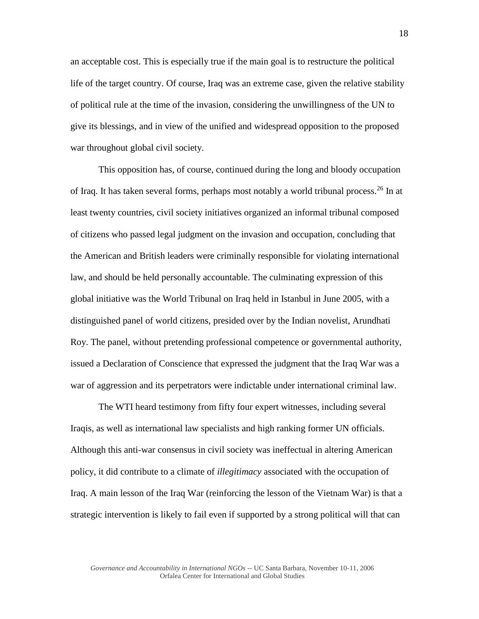an acceptable cost. This is especially true if the main goal is to restructure the political life of the target country. Of course, Iraq was an extreme case, given the relative stability of political rule at the time of the invasion, considering the unwillingness of the UN to give its blessings, and in view of the unified and widespread opposition to the proposed war throughout global civil society.

This opposition has, of course, continued during the long and bloody occupation of Iraq. It has taken several forms, perhaps most notably a world tribunal process.<sup>26</sup> In at least twenty countries, civil society initiatives organized an informal tribunal composed of citizens who passed legal judgment on the invasion and occupation, concluding that the American and British leaders were criminally responsible for violating international law, and should be held personally accountable. The culminating expression of this global initiative was the World Tribunal on Iraq held in Istanbul in June 2005, with a distinguished panel of world citizens, presided over by the Indian novelist, Arundhati Roy. The panel, without pretending professional competence or governmental authority, issued a Declaration of Conscience that expressed the judgment that the Iraq War was a war of aggression and its perpetrators were indictable under international criminal law.

The WTI heard testimony from fifty four expert witnesses, including several Iraqis, as well as international law specialists and high ranking former UN officials. Although this anti-war consensus in civil society was ineffectual in altering American policy, it did contribute to a climate of *illegitimacy* associated with the occupation of Iraq. A main lesson of the Iraq War (reinforcing the lesson of the Vietnam War) is that a strategic intervention is likely to fail even if supported by a strong political will that can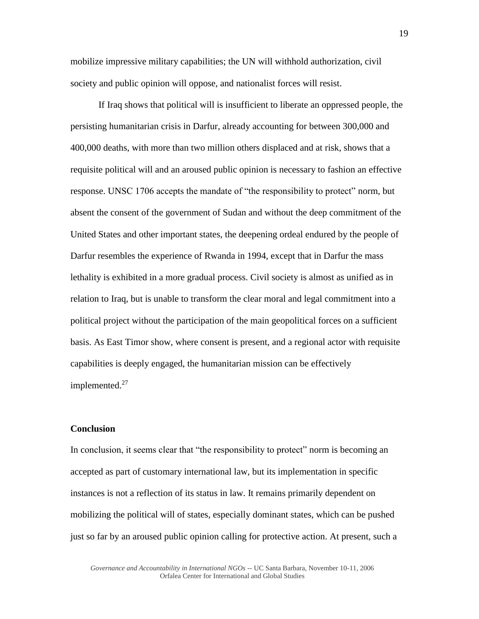mobilize impressive military capabilities; the UN will withhold authorization, civil society and public opinion will oppose, and nationalist forces will resist.

If Iraq shows that political will is insufficient to liberate an oppressed people, the persisting humanitarian crisis in Darfur, already accounting for between 300,000 and 400,000 deaths, with more than two million others displaced and at risk, shows that a requisite political will and an aroused public opinion is necessary to fashion an effective response. UNSC 1706 accepts the mandate of "the responsibility to protect" norm, but absent the consent of the government of Sudan and without the deep commitment of the United States and other important states, the deepening ordeal endured by the people of Darfur resembles the experience of Rwanda in 1994, except that in Darfur the mass lethality is exhibited in a more gradual process. Civil society is almost as unified as in relation to Iraq, but is unable to transform the clear moral and legal commitment into a political project without the participation of the main geopolitical forces on a sufficient basis. As East Timor show, where consent is present, and a regional actor with requisite capabilities is deeply engaged, the humanitarian mission can be effectively implemented.<sup>27</sup>

# **Conclusion**

In conclusion, it seems clear that "the responsibility to protect" norm is becoming an accepted as part of customary international law, but its implementation in specific instances is not a reflection of its status in law. It remains primarily dependent on mobilizing the political will of states, especially dominant states, which can be pushed just so far by an aroused public opinion calling for protective action. At present, such a

19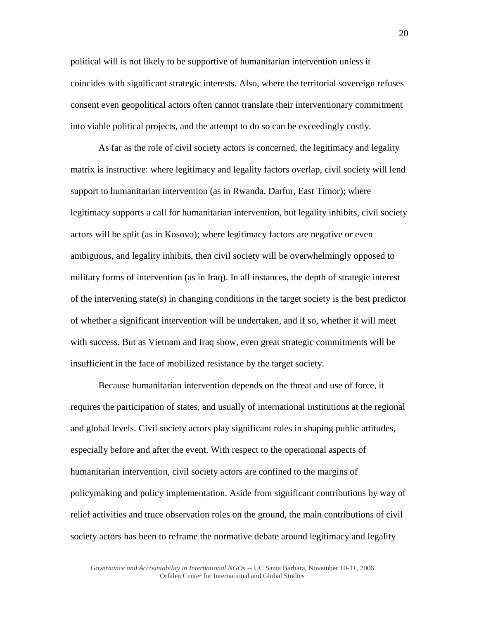political will is not likely to be supportive of humanitarian intervention unless it coincides with significant strategic interests. Also, where the territorial sovereign refuses consent even geopolitical actors often cannot translate their interventionary commitment into viable political projects, and the attempt to do so can be exceedingly costly.

As far as the role of civil society actors is concerned, the legitimacy and legality matrix is instructive: where legitimacy and legality factors overlap, civil society will lend support to humanitarian intervention (as in Rwanda, Darfur, East Timor); where legitimacy supports a call for humanitarian intervention, but legality inhibits, civil society actors will be split (as in Kosovo); where legitimacy factors are negative or even ambiguous, and legality inhibits, then civil society will be overwhelmingly opposed to military forms of intervention (as in Iraq). In all instances, the depth of strategic interest of the intervening state(s) in changing conditions in the target society is the best predictor of whether a significant intervention will be undertaken, and if so, whether it will meet with success. But as Vietnam and Iraq show, even great strategic commitments will be insufficient in the face of mobilized resistance by the target society.

Because humanitarian intervention depends on the threat and use of force, it requires the participation of states, and usually of international institutions at the regional and global levels. Civil society actors play significant roles in shaping public attitudes, especially before and after the event. With respect to the operational aspects of humanitarian intervention, civil society actors are confined to the margins of policymaking and policy implementation. Aside from significant contributions by way of relief activities and truce observation roles on the ground, the main contributions of civil society actors has been to reframe the normative debate around legitimacy and legality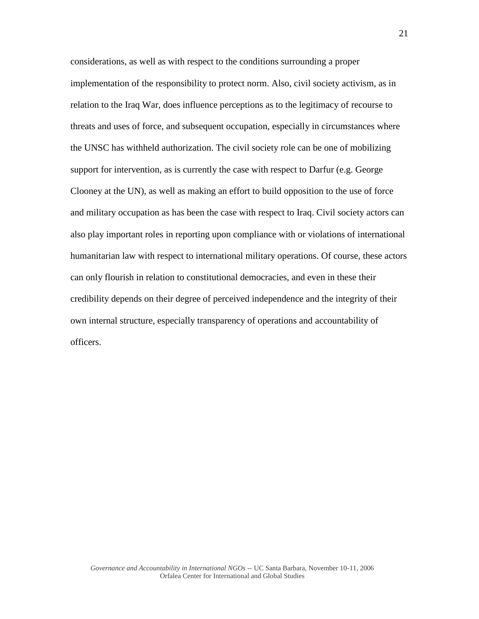considerations, as well as with respect to the conditions surrounding a proper implementation of the responsibility to protect norm. Also, civil society activism, as in relation to the Iraq War, does influence perceptions as to the legitimacy of recourse to threats and uses of force, and subsequent occupation, especially in circumstances where the UNSC has withheld authorization. The civil society role can be one of mobilizing support for intervention, as is currently the case with respect to Darfur (e.g. George Clooney at the UN), as well as making an effort to build opposition to the use of force and military occupation as has been the case with respect to Iraq. Civil society actors can also play important roles in reporting upon compliance with or violations of international humanitarian law with respect to international military operations. Of course, these actors can only flourish in relation to constitutional democracies, and even in these their credibility depends on their degree of perceived independence and the integrity of their own internal structure, especially transparency of operations and accountability of officers.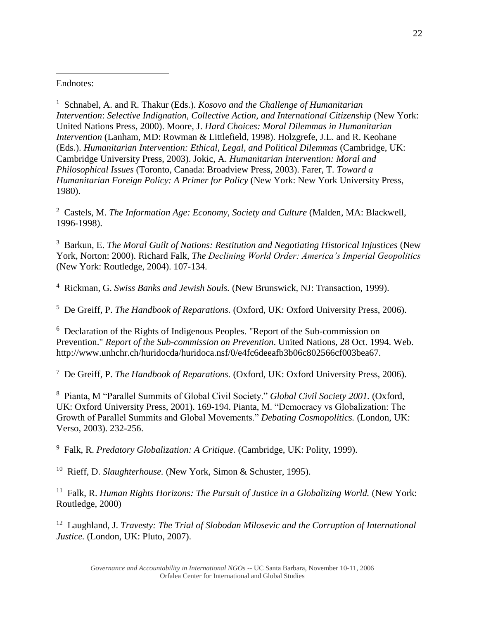Endnotes:  $\overline{a}$ 

<sup>1</sup> Schnabel, A. and R. Thakur (Eds.). *Kosovo and the Challenge of Humanitarian Intervention*: *Selective Indignation, Collective Action, and International Citizenship* (New York: United Nations Press, 2000). Moore, J. *Hard Choices: Moral Dilemmas in Humanitarian Intervention* (Lanham, MD: Rowman & Littlefield, 1998). Holzgrefe, J.L. and R. Keohane (Eds.). *Humanitarian Intervention: Ethical, Legal, and Political Dilemmas* (Cambridge, UK: Cambridge University Press, 2003). Jokic, A. *Humanitarian Intervention: Moral and Philosophical Issues* (Toronto, Canada: Broadview Press, 2003). Farer, T. *Toward a Humanitarian Foreign Policy: A Primer for Policy* (New York: New York University Press, 1980).

2 Castels, M. *The Information Age: Economy, Society and Culture* (Malden, MA: Blackwell, 1996-1998).

3 Barkun, E. *The Moral Guilt of Nations: Restitution and Negotiating Historical Injustices* (New York, Norton: 2000). Richard Falk, *The Declining World Order: America's Imperial Geopolitics* (New York: Routledge, 2004). 107-134.

4 Rickman, G. *Swiss Banks and Jewish Souls.* (New Brunswick, NJ: Transaction, 1999).

5 De Greiff, P. *The Handbook of Reparations.* (Oxford, UK: Oxford University Press, 2006).

<sup>6</sup> Declaration of the Rights of Indigenous Peoples. "Report of the Sub-commission on Prevention." *Report of the Sub-commission on Prevention*. United Nations, 28 Oct. 1994. Web. http://www.unhchr.ch/huridocda/huridoca.nsf/0/e4fc6deeafb3b06c802566cf003bea67.

7 De Greiff, P. *The Handbook of Reparations.* (Oxford, UK: Oxford University Press, 2006).

8 Pianta, M "Parallel Summits of Global Civil Society." *Global Civil Society 2001.* (Oxford, UK: Oxford University Press, 2001). 169-194. Pianta, M. "Democracy vs Globalization: The Growth of Parallel Summits and Global Movements." *Debating Cosmopolitics.* (London, UK: Verso, 2003). 232-256.

9 Falk, R. *Predatory Globalization: A Critique.* (Cambridge, UK: Polity, 1999).

<sup>10</sup> Rieff, D. *Slaughterhouse*. (New York, Simon & Schuster, 1995).

<sup>11</sup> Falk, R. *Human Rights Horizons: The Pursuit of Justice in a Globalizing World.* (New York: Routledge, 2000)

<sup>12</sup> Laughland, J. *Travesty: The Trial of Slobodan Milosevic and the Corruption of International Justice.* (London, UK: Pluto, 2007).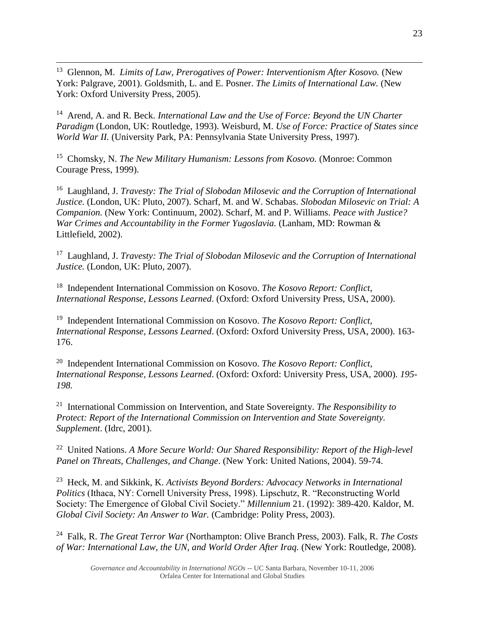13 Glennon, M. *Limits of Law, Prerogatives of Power: Interventionism After Kosovo.* (New York: Palgrave, 2001). Goldsmith, L. and E. Posner. *The Limits of International Law.* (New York: Oxford University Press, 2005).

 $\overline{a}$ 

<sup>14</sup> Arend, A. and R. Beck. *International Law and the Use of Force: Beyond the UN Charter Paradigm* (London, UK: Routledge, 1993). Weisburd, M. *Use of Force: Practice of States since World War II.* (University Park, PA: Pennsylvania State University Press, 1997).

15 Chomsky, N. *The New Military Humanism: Lessons from Kosovo.* (Monroe: Common Courage Press, 1999).

<sup>16</sup> Laughland, J. *Travesty: The Trial of Slobodan Milosevic and the Corruption of International Justice.* (London, UK: Pluto, 2007). Scharf, M. and W. Schabas. *Slobodan Milosevic on Trial: A Companion.* (New York: Continuum, 2002). Scharf, M. and P. Williams. *Peace with Justice? War Crimes and Accountability in the Former Yugoslavia.* (Lanham, MD: Rowman & Littlefield, 2002).

<sup>17</sup> Laughland, J. *Travesty: The Trial of Slobodan Milosevic and the Corruption of International Justice.* (London, UK: Pluto, 2007).

18 Independent International Commission on Kosovo. *The Kosovo Report: Conflict, International Response, Lessons Learned*. (Oxford: Oxford University Press, USA, 2000).

19 Independent International Commission on Kosovo. *The Kosovo Report: Conflict, International Response, Lessons Learned*. (Oxford: Oxford University Press, USA, 2000). 163- 176.

20 Independent International Commission on Kosovo. *The Kosovo Report: Conflict, International Response, Lessons Learned*. (Oxford: Oxford: University Press, USA, 2000). *195- 198.*

21 International Commission on Intervention, and State Sovereignty. *The Responsibility to Protect: Report of the International Commission on Intervention and State Sovereignty. Supplement*. (Idrc, 2001).

<sup>22</sup> United Nations. *A More Secure World: Our Shared Responsibility: Report of the High-level Panel on Threats, Challenges, and Change*. (New York: United Nations, 2004). 59-74.

23 Heck, M. and Sikkink, K. *Activists Beyond Borders: Advocacy Networks in International Politics* (Ithaca, NY: Cornell University Press, 1998). Lipschutz, R. "Reconstructing World Society: The Emergence of Global Civil Society." *Millennium* 21. (1992): 389-420. Kaldor, M. *Global Civil Society: An Answer to War.* (Cambridge: Polity Press, 2003).

24 Falk, R. *The Great Terror War* (Northampton: Olive Branch Press, 2003). Falk, R. *The Costs of War: International Law, the UN, and World Order After Iraq.* (New York: Routledge, 2008).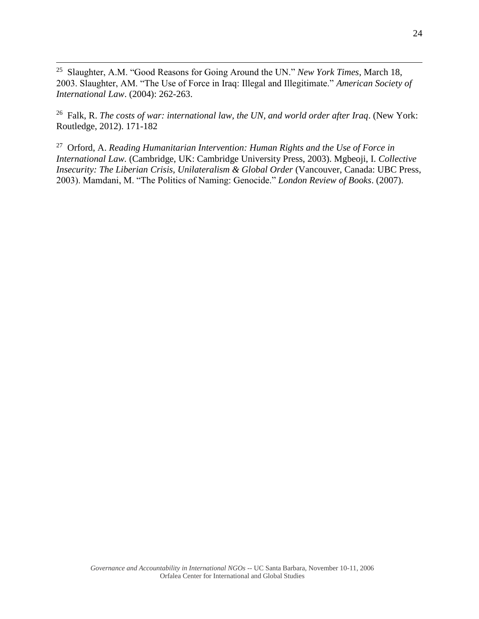25 Slaughter, A.M. "Good Reasons for Going Around the UN." *New York Times*, March 18, 2003. Slaughter, AM. "The Use of Force in Iraq: Illegal and Illegitimate." *American Society of International Law*. (2004): 262-263.

 $\overline{a}$ 

26 Falk, R. *The costs of war: international law, the UN, and world order after Iraq*. (New York: Routledge, 2012). 171-182

27 Orford, A. *Reading Humanitarian Intervention: Human Rights and the Use of Force in International Law.* (Cambridge, UK: Cambridge University Press, 2003). Mgbeoji, I. *Collective Insecurity: The Liberian Crisis, Unilateralism & Global Order (Vancouver, Canada: UBC Press,* 2003). Mamdani, M. "The Politics of Naming: Genocide." *London Review of Books*. (2007).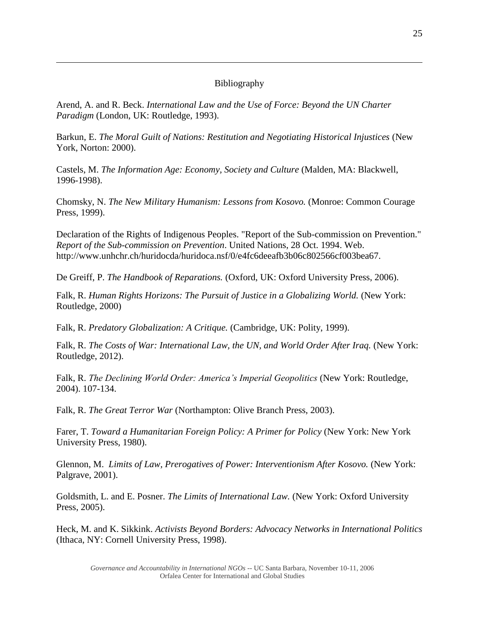# Bibliography

Arend, A. and R. Beck. *International Law and the Use of Force: Beyond the UN Charter Paradigm* (London, UK: Routledge, 1993).

 $\overline{a}$ 

Barkun, E. *The Moral Guilt of Nations: Restitution and Negotiating Historical Injustices* (New York, Norton: 2000).

Castels, M. *The Information Age: Economy, Society and Culture* (Malden, MA: Blackwell, 1996-1998).

Chomsky, N. *The New Military Humanism: Lessons from Kosovo.* (Monroe: Common Courage Press, 1999).

Declaration of the Rights of Indigenous Peoples. "Report of the Sub-commission on Prevention." *Report of the Sub-commission on Prevention*. United Nations, 28 Oct. 1994. Web. http://www.unhchr.ch/huridocda/huridoca.nsf/0/e4fc6deeafb3b06c802566cf003bea67.

De Greiff, P. *The Handbook of Reparations.* (Oxford, UK: Oxford University Press, 2006).

Falk, R. *Human Rights Horizons: The Pursuit of Justice in a Globalizing World.* (New York: Routledge, 2000)

Falk, R. *Predatory Globalization: A Critique.* (Cambridge, UK: Polity, 1999).

Falk, R. *The Costs of War: International Law, the UN, and World Order After Iraq.* (New York: Routledge, 2012).

Falk, R. *The Declining World Order: America's Imperial Geopolitics* (New York: Routledge, 2004). 107-134.

Falk, R. *The Great Terror War* (Northampton: Olive Branch Press, 2003).

Farer, T. *Toward a Humanitarian Foreign Policy: A Primer for Policy* (New York: New York University Press, 1980).

Glennon, M. *Limits of Law, Prerogatives of Power: Interventionism After Kosovo.* (New York: Palgrave, 2001).

Goldsmith, L. and E. Posner. *The Limits of International Law.* (New York: Oxford University Press, 2005).

Heck, M. and K. Sikkink. *Activists Beyond Borders: Advocacy Networks in International Politics* (Ithaca, NY: Cornell University Press, 1998).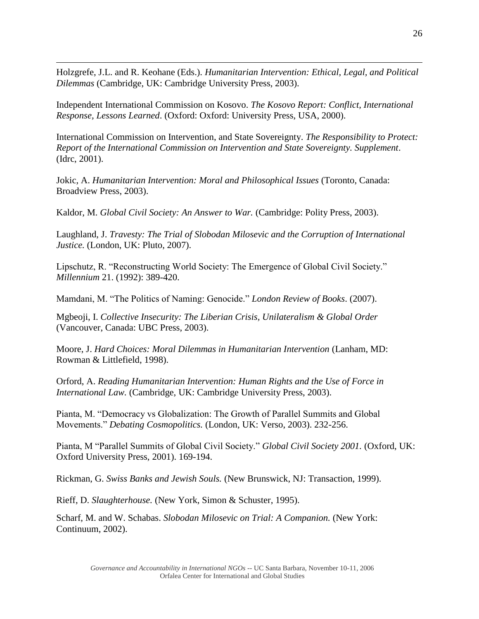Holzgrefe, J.L. and R. Keohane (Eds.). *Humanitarian Intervention: Ethical, Legal, and Political Dilemmas* (Cambridge, UK: Cambridge University Press, 2003).

 $\overline{a}$ 

Independent International Commission on Kosovo. *The Kosovo Report: Conflict, International Response, Lessons Learned*. (Oxford: Oxford: University Press, USA, 2000).

International Commission on Intervention, and State Sovereignty. *The Responsibility to Protect: Report of the International Commission on Intervention and State Sovereignty. Supplement*. (Idrc, 2001).

Jokic, A. *Humanitarian Intervention: Moral and Philosophical Issues* (Toronto, Canada: Broadview Press, 2003).

Kaldor, M. *Global Civil Society: An Answer to War.* (Cambridge: Polity Press, 2003).

Laughland, J. *Travesty: The Trial of Slobodan Milosevic and the Corruption of International Justice.* (London, UK: Pluto, 2007).

Lipschutz, R. "Reconstructing World Society: The Emergence of Global Civil Society." *Millennium* 21. (1992): 389-420.

Mamdani, M. "The Politics of Naming: Genocide." *London Review of Books*. (2007).

Mgbeoji, I. *Collective Insecurity: The Liberian Crisis, Unilateralism & Global Order*  (Vancouver, Canada: UBC Press, 2003).

Moore, J. *Hard Choices: Moral Dilemmas in Humanitarian Intervention* (Lanham, MD: Rowman & Littlefield, 1998).

Orford, A. *Reading Humanitarian Intervention: Human Rights and the Use of Force in International Law.* (Cambridge, UK: Cambridge University Press, 2003).

Pianta, M. "Democracy vs Globalization: The Growth of Parallel Summits and Global Movements." *Debating Cosmopolitics.* (London, UK: Verso, 2003). 232-256.

Pianta, M "Parallel Summits of Global Civil Society." *Global Civil Society 2001.* (Oxford, UK: Oxford University Press, 2001). 169-194.

Rickman, G. *Swiss Banks and Jewish Souls.* (New Brunswick, NJ: Transaction, 1999).

Rieff, D. *Slaughterhouse.* (New York, Simon & Schuster, 1995).

Scharf, M. and W. Schabas. *Slobodan Milosevic on Trial: A Companion.* (New York: Continuum, 2002).